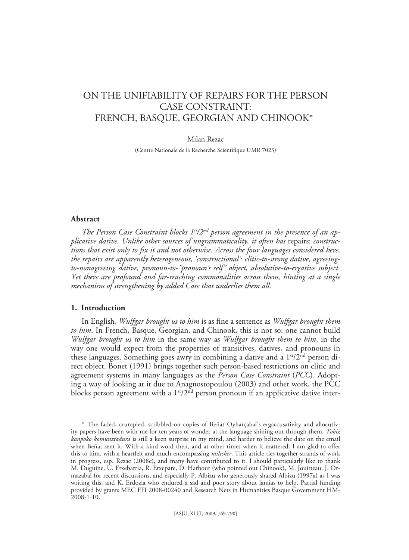# ON THE UNIFIABILITY OF REPAIRS FOR THE PERSON CASE CONSTRAINT: FRENCH, BASQUE, GEORGIAN AND CHINOOK\*1

#### Milan Rezac

(Centre Nationale de la Recherche Scientifique UMR 7023)

# **Abstract**

The Person Case Constraint blocks 1<sup>st</sup>/2<sup>nd</sup> person agreement in the presence of an ap*plicative dative. Unlike other sources of ungrammaticality, it often has* repairs: *constructions that exist only to fix it and not otherwise. Across the four languages considered here, the repairs are apparently heterogeneous, 'constructional': clitic-to-strong dative, agreeingto-nonagreeing dative, pronoun-to-"pronoun's self" object, absolutive-to-ergative subject. Yet there are profound and far-reaching commonalities across them, hinting at a single mechanism of strengthening by added Case that underlies them all.*

# **1. Introduction**

In English, *Wulfgar brought us to him* is as fine a sentence as *Wulfgar brought them to him*. In French, Basque, Georgian, and Chinook, this is not so: one cannot build *Wulfgar brought us to him* in the same way as *Wulfgar brought them to him*, in the way one would expect from the properties of transitives, datives, and pronouns in these languages. Something goes awry in combining a dative and a  $1<sup>st</sup>/2<sup>nd</sup>$  person direct object. Bonet (1991) brings together such person-based restrictions on clitic and agreement systems in many languages as the *Person Case Constraint* (*PCC*). Adopting a way of looking at it due to Anagnostopoulou (2003) and other work, the PCC blocks person agreement with a  $1<sup>st</sup>/2<sup>nd</sup>$  person pronoun if an applicative dative inter-

<sup>\*</sup> The faded, crumpled, scribbled-on copies of Beñat Oyharçabal's ergaccusativity and allocutivity papers have been with me for ten years of wonder at the language shining out through them. *Tokiz kanpoko komunztadura* is still a keen surprise in my mind, and harder to believe the date on the email when Beñat sent it: With a kind word then, and at other times when it mattered. I am glad to offer this to him, with a heartfelt and much-encompassing *milesker*. This article ties together strands of work in progress, esp. Rezac (2008c), and many have contributed to it. I should particularly like to thank M. Duguine, U. Etxebarria, R. Etxepare, D. Harbour (who pointed out Chinook), M. Jouitteau, J. Ormazabal for recent discussions, and especially P. Albizu who generously shared Albizu (1997a) as I was writing this, and K. Erdozia who endured a sad and poor story about lamias to help. Partial funding provided by grants MEC FFI 2008-00240 and Research Nets in Humanities Basque Government HM-2008-1-10.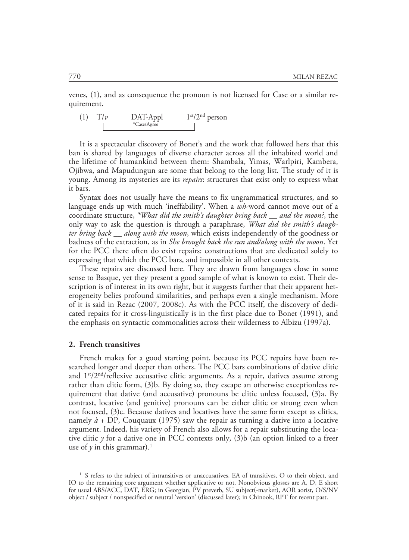venes, (1), and as consequence the pronoun is not licensed for Case or a similar requirement.



It is a spectacular discovery of Bonet's and the work that followed hers that this ban is shared by languages of diverse character across all the inhabited world and the lifetime of humankind between them: Shambala, Yimas, Warlpiri, Kambera, Ojibwa, and Mapudungun are some that belong to the long list. The study of it is young. Among its mysteries are its *repairs*: structures that exist only to express what it bars.

Syntax does not usually have the means to fix ungrammatical structures, and so language ends up with much 'ineffability'. When a *wh*-word cannot move out of a coordinate structure, *\*What did the smith's daughter bring back \_\_ and the moon?*, the only way to ask the question is through a paraphrase, *What did the smith's daughter bring back \_\_ along with the moon*, which exists independently of the goodness or badness of the extraction, as in *She brought back the sun and/along with the moon*. Yet for the PCC there often do exist repairs: constructions that are dedicated solely to expressing that which the PCC bars, and impossible in all other contexts.

These repairs are discussed here. They are drawn from languages close in some sense to Basque, yet they present a good sample of what is known to exist. Their description is of interest in its own right, but it suggests further that their apparent heterogeneity belies profound similarities, and perhaps even a single mechanism. More of it is said in Rezac (2007, 2008c). As with the PCC itself, the discovery of dedicated repairs for it cross-linguistically is in the first place due to Bonet (1991), and the emphasis on syntactic commonalities across their wilderness to Albizu (1997a).

# **2. French transitives**

French makes for a good starting point, because its PCC repairs have been researched longer and deeper than others. The PCC bars combinations of dative clitic and  $1<sup>st</sup>/2<sup>nd</sup>/reflexive accusative clitic arguments. As a repair, datives assume strong$ rather than clitic form, (3)b. By doing so, they escape an otherwise exceptionless requirement that dative (and accusative) pronouns be clitic unless focused, (3)a. By contrast, locative (and genitive) pronouns can be either clitic or strong even when not focused, (3)c. Because datives and locatives have the same form except as clitics, namely  $\dot{a}$  + DP, Couquaux (1975) saw the repair as turning a dative into a locative argument. Indeed, his variety of French also allows for a repair substituting the locative clitic *y* for a dative one in PCC contexts only, (3)b (an option linked to a freer use of  $\gamma$  in this grammar).<sup>1</sup>

<sup>&</sup>lt;sup>1</sup> S refers to the subject of intransitives or unaccusatives, EA of transitives, O to their object, and IO to the remaining core argument whether applicative or not. Nonobvious glosses are A, D, E short for usual ABS/ACC, DAT, ERG; in Georgian, PV preverb, SU subject(-marker), AOR aorist, O/S/NV object / subject / nonspecified or neutral 'version' (discussed later); in Chinook, RPT for recent past.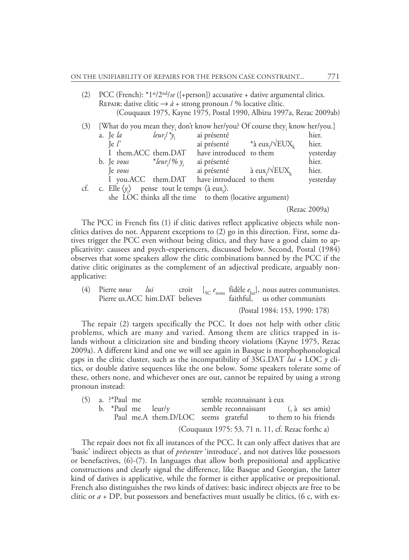(2) PCC (French): \*1st/2nd/*se* ([+person]) accusative + dative argumental clitics. REPAIR: dative clitic  $\rightarrow \dot{a}$  + strong pronoun / % locative clitic. (Couquaux 1975, Kayne 1975, Postal 1990, Albizu 1997a, Rezac 2009ab)

| (3) | [What do you mean they, don't know her/you? Of course they, know her/you.] |                                                                               |                                       |                                                         |  |           |  |
|-----|----------------------------------------------------------------------------|-------------------------------------------------------------------------------|---------------------------------------|---------------------------------------------------------|--|-----------|--|
|     |                                                                            | a. Je $la$                                                                    | $leur_i/$ <sup>*</sup> y <sub>i</sub> | ai présenté                                             |  | hier.     |  |
|     |                                                                            | $\lg l'$                                                                      |                                       | ai présenté $*$ à eux <sub>i</sub> / $\sqrt{EUX_L}$     |  | hier.     |  |
|     |                                                                            | I them.ACC them.DAT                                                           |                                       | have introduced to them                                 |  | yesterday |  |
|     |                                                                            | b. Je vous                                                                    | *leur¦/% $y_i$                        | ai présenté                                             |  | hier.     |  |
|     |                                                                            | Je vous                                                                       |                                       | ai présenté $\lambda$ eux <sub>i</sub> / $\sqrt{EUX_k}$ |  | hier.     |  |
|     |                                                                            |                                                                               |                                       | I you.ACC them.DAT have introduced to them              |  | yesterday |  |
| cf. |                                                                            | c. Elle $\langle y_i \rangle$ pense tout le temps $\langle a eux_i \rangle$ . |                                       |                                                         |  |           |  |
|     |                                                                            |                                                                               |                                       |                                                         |  |           |  |

she LOC thinks all the time to them (locative argument)

(Rezac 2009a)

The PCC in French fits (1) if clitic datives reflect applicative objects while nonclitics datives do not. Apparent exceptions to (2) go in this direction. First, some datives trigger the PCC even without being clitics, and they have a good claim to applicativity: causees and psych-experiencers, discussed below. Second, Postal (1984) observes that some speakers allow the clitic combinations banned by the PCC if the dative clitic originates as the complement of an adjectival predicate, arguably nonapplicative:

(4) Pierre *nous lui* croit  $\left[ \begin{array}{c} \zeta_{\text{C}} e_{\text{nous}} \end{array} \right]$  fidèle  $e_{\text{lui}}$ , nous autres communistes. Pierre us.ACC him.DAT believes faithful, us other communists

(Postal 1984: 153, 1990: 178)

The repair (2) targets specifically the PCC. It does not help with other clitic problems, which are many and varied. Among them are clitics trapped in islands without a cliticization site and binding theory violations (Kayne 1975, Rezac 2009a). A different kind and one we will see again in Basque is morphophonological gaps in the clitic cluster, such as the incompatibility of 3SG.DAT *lui* + LOC *y* clitics, or double dative sequences like the one below. Some speakers tolerate some of these, others none, and whichever ones are out, cannot be repaired by using a strong pronoun instead:

|  | $(5)$ a. ?*Paul me |                                                            | semble reconnaissant à eux                        |  |  |
|--|--------------------|------------------------------------------------------------|---------------------------------------------------|--|--|
|  |                    | b. *Paul me leur/y semble reconnaissant (, à ses amis)     |                                                   |  |  |
|  |                    | Paul me.A them.D/LOC seems grateful to them to his friends |                                                   |  |  |
|  |                    |                                                            | (Couquaux 1975: 53, 71 n. 11, cf. Rezac forthc a) |  |  |

The repair does not fix all instances of the PCC. It can only affect datives that are 'basic' indirect objects as that of *présenter* 'introduce', and not datives like possessors or benefactives,  $(6)-(7)$ . In languages that allow both prepositional and applicative constructions and clearly signal the difference, like Basque and Georgian, the latter kind of datives is applicative, while the former is either applicative or prepositional. French also distinguishes the two kinds of datives: basic indirect objects are free to be clitic or  $a + DP$ , but possessors and benefactives must usually be clitics, (6 c, with ex-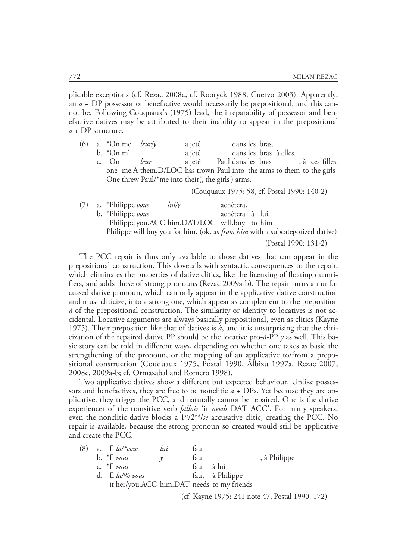plicable exceptions (cf. Rezac 2008c, cf. Rooryck 1988, Cuervo 2003). Apparently, an *a* + DP possessor or benefactive would necessarily be prepositional, and this cannot be. Following Couquaux's (1975) lead, the irreparability of possessor and benefactive datives may be attributed to their inability to appear in the prepositional *a* + DP structure.

| (6) | a. $*On me$ <i>leurly</i> |      | a jeté                                                                        |                                             | dans les bras. |  |  |
|-----|---------------------------|------|-------------------------------------------------------------------------------|---------------------------------------------|----------------|--|--|
|     | $b.$ *On m'               |      |                                                                               | a jeté dans les bras à elles.               |                |  |  |
|     | c. On                     | leur |                                                                               | a jeté Paul dans les bras , à ces filles.   |                |  |  |
|     |                           |      | one me.A them.D/LOC has trown Paul into the arms to them to the girls         |                                             |                |  |  |
|     |                           |      | One threw Paul/*me into their(, the girls') arms.                             |                                             |                |  |  |
|     |                           |      |                                                                               | (Couquaux 1975: 58, cf. Postal 1990: 140-2) |                |  |  |
|     | a. *Philippe vous         |      | $lui/\nu$                                                                     | achètera.                                   |                |  |  |
|     | b. *Philippe vous         |      |                                                                               | achètera à lui.                             |                |  |  |
|     |                           |      | Philippe you.ACC him.DAT/LOC will.buy to him                                  |                                             |                |  |  |
|     |                           |      | Philippe will buy you for him. (ok. as from him with a subcategorized dative) |                                             |                |  |  |
|     |                           |      |                                                                               |                                             |                |  |  |

(Postal 1990: 131-2)

The PCC repair is thus only available to those datives that can appear in the prepositional construction. This dovetails with syntactic consequences to the repair, which eliminates the properties of dative clitics, like the licensing of floating quantifiers, and adds those of strong pronouns (Rezac 2009a-b). The repair turns an unfocussed dative pronoun, which can only appear in the applicative dative construction and must cliticize, into a strong one, which appear as complement to the preposition *à* of the prepositional construction. The similarity or identity to locatives is not accidental. Locative arguments are always basically prepositional, even as clitics (Kayne 1975). Their preposition like that of datives is  $\dot{a}$ , and it is unsurprising that the cliticization of the repaired dative PP should be the locative pro-*à*-PP *y* as well. This basic story can be told in different ways, depending on whether one takes as basic the strengthening of the pronoun, or the mapping of an applicative to/from a prepositional construction (Couquaux 1975, Postal 1990, Albizu 1997a, Rezac 2007, 2008c, 2009a-b; cf. Ormazabal and Romero 1998).

Two applicative datives show a different but expected behaviour. Unlike possessors and benefactives, they are free to be nonclitic  $a + DPs$ . Yet because they are applicative, they trigger the PCC, and naturally cannot be repaired. One is the dative experiencer of the transitive verb *falloir* 'it *needs* DAT ACC'. For many speakers, even the nonclitic dative blocks a 1<sup>st</sup>/2<sup>nd</sup>/se accusative clitic, creating the PCC. No repair is available, because the strong pronoun so created would still be applicative and create the PCC.

| (8) | a. Il $\frac{la}{\approx}$ 100 $\frac{1}{2}$ | lui | faut       |                 |              |
|-----|----------------------------------------------|-----|------------|-----------------|--------------|
|     | b. $*II$ vous                                |     | faut       |                 | , à Philippe |
|     | c. $*$ Il vous                               |     | faut à lui |                 |              |
|     | d. Il $\frac{la}{\%}$ vous                   |     |            | faut à Philippe |              |
|     | it her/you.ACC him.DAT needs to my friends   |     |            |                 |              |
|     |                                              |     |            |                 |              |

(cf. Kayne 1975: 241 note 47, Postal 1990: 172)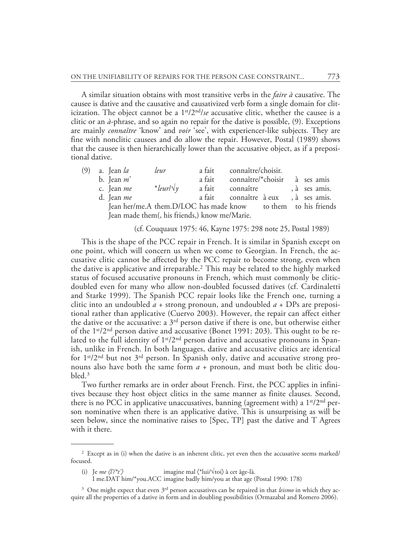A similar situation obtains with most transitive verbs in the *faire à* causative. The causee is dative and the causative and causativized verb form a single domain for cliticization. The object cannot be a 1st/2nd/*se* accusative clitic, whether the causee is a clitic or an *à*-phrase, and so again no repair for the dative is possible, (9). Exceptions are mainly *connaître* 'know' and *voir* 'see', with experiencer-like subjects. They are fine with nonclitic causees and do allow the repair. However, Postal (1989) shows that the causee is then hierarchically lower than the accusative object, as if a prepositional dative.

| (9) | a. Jean <i>la</i> | leur                                                          | a fait | connaître/choisir.                  |  |               |
|-----|-------------------|---------------------------------------------------------------|--------|-------------------------------------|--|---------------|
|     | b. Jean $m'$      |                                                               | a fait | connaître/*choisir à ses amis       |  |               |
|     | c. Jean me        | $*$ leurl $\sqrt{\gamma}$                                     | a fait | connaître                           |  | , à ses amis. |
|     | d. Jean me        |                                                               |        | a fait connaître à eux, à ses amis. |  |               |
|     |                   | Jean her/me.A them.D/LOC has made know to them to his friends |        |                                     |  |               |
|     |                   | Jean made them(, his friends,) know me/Marie.                 |        |                                     |  |               |

#### (cf. Couquaux 1975: 46, Kayne 1975: 298 note 25, Postal 1989)

This is the shape of the PCC repair in French. It is similar in Spanish except on one point, which will concern us when we come to Georgian. In French, the accusative clitic cannot be affected by the PCC repair to become strong, even when the dative is applicative and irreparable.<sup>2</sup> This may be related to the highly marked status of focused accusative pronouns in French, which must commonly be cliticdoubled even for many who allow non-doubled focussed datives (cf. Cardinaletti and Starke 1999). The Spanish PCC repair looks like the French one, turning a clitic into an undoubled  $a$  + strong pronoun, and undoubled  $a$  + DPs are prepositional rather than applicative (Cuervo 2003). However, the repair can affect either the dative or the accusative: a  $3<sup>rd</sup>$  person dative if there is one, but otherwise either of the 1st/2nd person dative and accusative (Bonet 1991: 203). This ought to be related to the full identity of 1st/2nd person dative and accusative pronouns in Spanish, unlike in French. In both languages, dative and accusative clitics are identical for  $1<sup>st</sup>/2<sup>nd</sup>$  but not  $3<sup>rd</sup>$  person. In Spanish only, dative and accusative strong pronouns also have both the same form *a* + pronoun, and must both be clitic doubled.3

Two further remarks are in order about French. First, the PCC applies in infinitives because they host object clitics in the same manner as finite clauses. Second, there is no PCC in applicative unaccusatives, banning (agreement with) a  $1<sup>st</sup>/2<sup>nd</sup>$  person nominative when there is an applicative dative. This is unsurprising as will be seen below, since the nominative raises to [Spec, TP] past the dative and T Agrees with it there.

I me.DAT him/\*you.ACC imagine badly him/you at that age (Postal 1990: 178)

<sup>3</sup> One might expect that even 3<sup>rd</sup> person accusatives can be repaired in that *leismo* in which they acquire all the properties of a dative in form and in doubling possibilities (Ormazabal and Romero 2006).

<sup>&</sup>lt;sup>2</sup> Except as in (i) when the dative is an inherent clitic, yet even then the accusative seems marked/ focused.

<sup>(</sup>i) Je  $me \langle l/\prime \frac{t}{\prime} \rangle$  imagine mal  $\langle \frac{t}{\prime} \vert u \rangle / \langle \text{tot} \rangle$  à cet âge-là.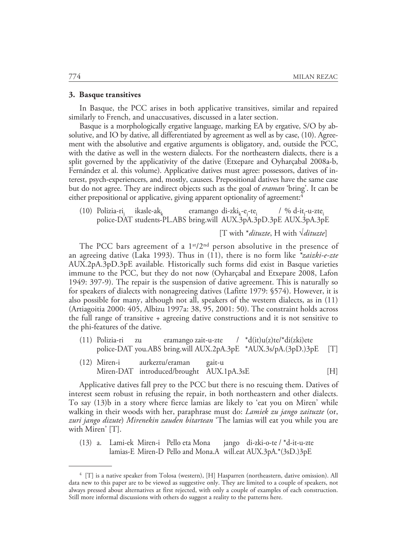#### **3. Basque transitives**

In Basque, the PCC arises in both applicative transitives, similar and repaired similarly to French, and unaccusatives, discussed in a later section.

Basque is a morphologically ergative language, marking EA by ergative, S/O by absolutive, and IO by dative, all differentiated by agreement as well as by case, (10). Agreement with the absolutive and ergative arguments is obligatory, and, outside the PCC, with the dative as well in the western dialects. For the northeastern dialects, there is a split governed by the applicativity of the dative (Etxepare and Oyharçabal 2008a-b, Fernández et al. this volume). Applicative datives must agree: possessors, datives of interest, psych-experiencers, and, mostly, causees. Prepositional datives have the same case but do not agree. They are indirect objects such as the goal of *eraman* 'bring'. It can be either prepositional or applicative, giving apparent optionality of agreement:<sup>4</sup>

(10) Polizia-ri $_{i}$  ikasle-ak<sub>1</sub>  $\text{ikasle-ak}_k$  eramango di-zki<sub>k</sub>-e<sub>j-</sub>te<sub>i</sub>  $/$  % d-it<sub>j</sub>-u-zte<sub>i</sub> police-DAT students-PL.ABS bring.will AUX.3pA.3pD.3pE AUX.3pA.3pE

[T with \**dituzte*, H with √*dituzte*]

The PCC bars agreement of a  $1<sup>st</sup>/2<sup>nd</sup>$  person absolutive in the presence of an agreeing dative (Laka 1993). Thus in (11), there is no form like *\*zaizki-e-zte* AUX.2pA.3pD.3pE available*.* Historically such forms did exist in Basque varieties immune to the PCC, but they do not now (Oyharçabal and Etxepare 2008, Lafon 1949: 397-9). The repair is the suspension of dative agreement. This is naturally so for speakers of dialects with nonagreeing datives (Lafitte 1979: §574). However, it is also possible for many, although not all, speakers of the western dialects, as in (11) (Artiagoitia 2000: 405, Albizu 1997a: 38, 95, 2001: 50). The constraint holds across the full range of transitive + agreeing dative constructions and it is not sensitive to the phi-features of the dative.

- (11) Polizia-ri zu eramango zait-u-zte /  $d(it)u(z)te/di(z)te$ police-DAT you.ABS bring.will AUX.2pA.3pE \*AUX.3s/pA.(3pD.)3pE [T]
- (12) Miren-i aurkeztu/eraman gait-u Miren-DAT introduced/brought AUX.1pA.3sE [H]

Applicative datives fall prey to the PCC but there is no rescuing them. Datives of interest seem robust in refusing the repair, in both northeastern and other dialects. To say (13)b in a story where fierce lamias are likely to 'eat you on Miren' while walking in their woods with her, paraphrase must do: *Lamiek zu jango zaituzte* (or, *zuri jango dizute*) *Mirenekin zauden bitartean* 'The lamias will eat you while you are with Miren' [T].

(13) a. Lami-ek Miren-i Pello eta Mona jango di-zki-o-te / \*d-it-u-zte lamias-E Miren-D Pello and Mona.A will.eat AUX.3pA.\*(3sD.)3pE

<sup>4 [</sup>T] is a native speaker from Tolosa (western), [H] Hasparren (northeastern, dative omission). All data new to this paper are to be viewed as suggestive only. They are limited to a couple of speakers, not always pressed about alternatives at first rejected, with only a couple of examples of each construction. Still more informal discussions with others do suggest a reality to the patterns here.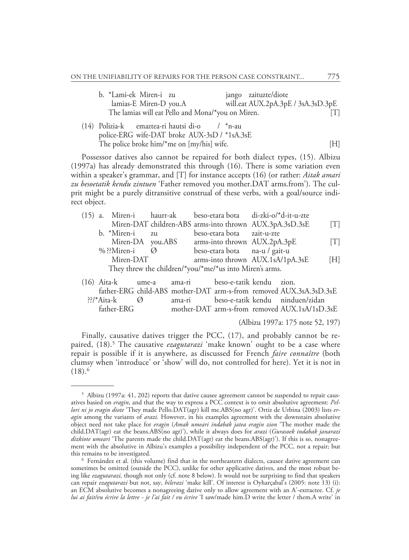| b. *Lami-ek Miren-i zu                            |  | jango zaituzte/diote               |     |
|---------------------------------------------------|--|------------------------------------|-----|
| lamias-E Miren-D you.A                            |  | will.eat AUX.2pA.3pE / 3sA.3sD.3pE |     |
| The lamias will eat Pello and Mona/*you on Miren. |  |                                    | [T] |

(14) Polizia-k emaztea-ri hautsi di-o / \*n-au police-ERG wife-DAT broke AUX-3sD / \*1sA.3sE The police broke him/\*me on  $[my/his]$  wife.  $[H]$ 

Possessor datives also cannot be repaired for both dialect types, (15). Albizu (1997a) has already demonstrated this through (16). There is some variation even within a speaker's grammar, and [T] for instance accepts (16) (or rather: *Aitak amari zu besoetatik kendu zintuen* 'Father removed you mother.DAT arms.from'). The culprit might be a purely ditransitive construal of these verbs, with a goal/source indirect object.

|                                                         |           |                         |     |                               | (15) a. Miren-i haurr-ak beso-etara bota di-zki-o/*d-it-u-zte |     |
|---------------------------------------------------------|-----------|-------------------------|-----|-------------------------------|---------------------------------------------------------------|-----|
|                                                         |           |                         |     |                               | Miren-DAT children-ABS arms-into thrown AUX.3pA.3sD.3sE       | [T] |
|                                                         |           | b. *Miren-i             | Z11 | beso-etara bota zait-u-zte    |                                                               |     |
|                                                         |           | Miren-DA you.ABS        |     | arms-into thrown AUX.2pA.3pE  |                                                               | [T] |
|                                                         |           | % ??Miren-i $\emptyset$ |     | beso-etara bota na-u / gait-u |                                                               |     |
|                                                         | Miren-DAT |                         |     |                               | arms-into thrown AUX.1sA/1pA.3sE                              | [H] |
| They threw the children/*you/*me/*us into Miren's arms. |           |                         |     |                               |                                                               |     |
|                                                         |           |                         |     |                               |                                                               |     |

| (16) Aita-k ume-a ama-ri        |        | beso-e-tatik kendu zion. |                                                                    |
|---------------------------------|--------|--------------------------|--------------------------------------------------------------------|
|                                 |        |                          | father-ERG child-ABS mother-DAT arm-s-from removed AUX.3sA.3sD.3sE |
| $\frac{22}{8}$ Aita-k $\oslash$ | ama-ri |                          | beso-e-tatik kendu ninduen/zidan                                   |
| father-ERG                      |        |                          | mother-DAT arm-s-from removed AUX.1sA/1sD.3sE                      |

(Albizu 1997a: 175 note 52, 197)

Finally, causative datives trigger the PCC, (17), and probably cannot be repaired, (18).5 The causative *ezagutarazi* 'make known' ought to be a case where repair is possible if it is anywhere, as discussed for French *faire connaître* (both clumsy when 'introduce' or 'show' will do, not controlled for here). Yet it is not in  $(18).<sup>6</sup>$ 

<sup>5</sup> Albizu (1997a: 41, 202) reports that dative causee agreement cannot be suspended to repair causatives basied on *eragin*, and that the way to express a PCC context is to omit absolutive agreement: *Pellori ni jo eragin diote* 'They made Pello.DAT(agr) kill me.ABS(no agr)'. Ortiz de Urbina (2003) lists *eragin* among the variants of *arazi*. However, in his examples agreement with the downstairs absolutive object need not take place for *eragin* (*Amak umeari indabak jatea eragin zion* 'The mother made the child.DAT(agr) eat the beans.ABS(no agr)'), while it always does for *arazi* (*Gurasoek indabak janarazi dizkiote umeari* 'The parents made the child.DAT(agr) eat the beans.ABS(agr)'). If this is so, nonagreement with the absolutive in Albizu's examples a possibility independent of the PCC, not a repair; but this remains to be investigated.

<sup>6</sup> Fernández et al. (this volume) find that in the northeastern dialects, causee dative agreement can sometimes be omitted (outside the PCC), unlike for other applicative datives, and the most robust being like *ezagutarazi,* though not only (cf. note 8 below). It would not be surprising to find that speakers can repair *ezagutarazi* but not, say, *hilerazi* 'make kill'. Of interest is Oyharçabal's (2005: note 13) (i): an ECM absolutive becomes a nonagreeing dative only to allow agreement with an A'-extractee. Cf. *je lui ai fait/vu écrire la lettre - je l'ai fait / vu écrire* 'I saw/made him.D write the letter / them.A write' in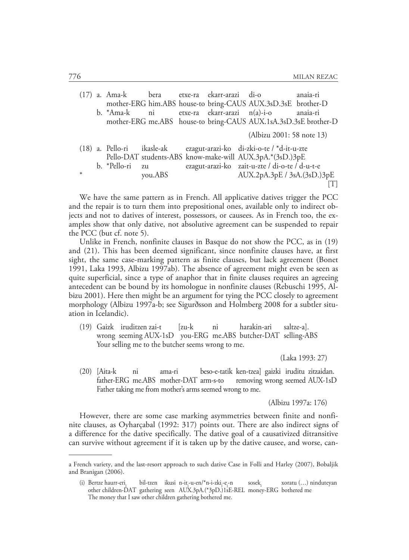|        | (17) a. Ama-k bera etxe-ra ekarr-arazi di-o |         |                              |                                                                                                                                  | anaia-ri |
|--------|---------------------------------------------|---------|------------------------------|----------------------------------------------------------------------------------------------------------------------------------|----------|
|        |                                             |         |                              | mother-ERG him.ABS house-to bring-CAUS AUX.3sD.3sE brother-D                                                                     |          |
|        | b. *Ama-k ni                                |         | etxe-ra ekarr-arazi n(a)-i-o |                                                                                                                                  | anaia-ri |
|        |                                             |         |                              | mother-ERG me.ABS house-to bring-CAUS AUX.1sA.3sD.3sE brother-D                                                                  |          |
|        |                                             |         |                              | (Albizu 2001: 58 note 13)                                                                                                        |          |
|        |                                             |         |                              | (18) a. Pello-ri ikasle-ak ezagut-arazi-ko di-zki-o-te / *d-it-u-zte<br>Pello-DAT students-ABS know-make-will AUX.3pA.*(3sD.)3pE |          |
|        | b. *Pello-ri                                | zu      |                              | ezagut-arazi-ko zait-u-zte / di-o-te / d-u-t-e                                                                                   |          |
| $\ast$ |                                             | you.ABS |                              | AUX.2pA.3pE / 3sA.(3sD.)3pE                                                                                                      |          |
|        |                                             |         |                              |                                                                                                                                  |          |
|        |                                             |         |                              |                                                                                                                                  |          |

We have the same pattern as in French. All applicative datives trigger the PCC and the repair is to turn them into prepositional ones, available only to indirect objects and not to datives of interest, possessors, or causees. As in French too, the examples show that only dative, not absolutive agreement can be suspended to repair the PCC (but cf. note 5).

Unlike in French, nonfinite clauses in Basque do not show the PCC, as in (19) and (21). This has been deemed significant, since nonfinite clauses have, at first sight, the same case-marking pattern as finite clauses, but lack agreement (Bonet 1991, Laka 1993, Albizu 1997ab). The absence of agreement might even be seen as quite superficial, since a type of anaphor that in finite clauses requires an agreeing antecedent can be bound by its homologue in nonfinite clauses (Rebuschi 1995, Albizu 2001). Here then might be an argument for tying the PCC closely to agreement morphology (Albizu 1997a-b; see Sigurðsson and Holmberg 2008 for a subtler situation in Icelandic).

(19) Gaizk iruditzen zai-t [zu-k ni harakin-ari saltze-a]. wrong seeming AUX-1sD you-ERG me.ABS butcher-DAT selling-ABS Your selling me to the butcher seems wrong to me.

(Laka 1993: 27)

(20) [Aita-k ni ama-ri beso-e-tatik ken-tzea] gaizki iruditu zitzaidan. father-ERG me.ABS mother-DAT arm-s-to removing wrong seemed AUX-1sD Father taking me from mother's arms seemed wrong to me.

(Albizu 1997a: 176)

However, there are some case marking asymmetries between finite and nonfinite clauses, as Oyharçabal (1992: 317) points out. There are also indirect signs of a difference for the dative specifically. The dative goal of a causativized ditransitive can survive without agreement if it is taken up by the dative causee, and worse, can-

a French variety, and the last-resort approach to such dative Case in Folli and Harley (2007), Bobaljik and Branigan (2006).

<sup>(</sup>i) Bertze haurr-eri, bil-tzen ikusi n-it<sub>i</sub>-u-en/\*n-i-zki<sub>i</sub>-e<sub>j</sub> sosek<sub>i</sub> xoratu (…) ninduteyan other children-DAT gathering seen AUX.3pA.(\*3pD.)1sE-REL money-ERG bothered me The money that I saw other children gathering bothered me.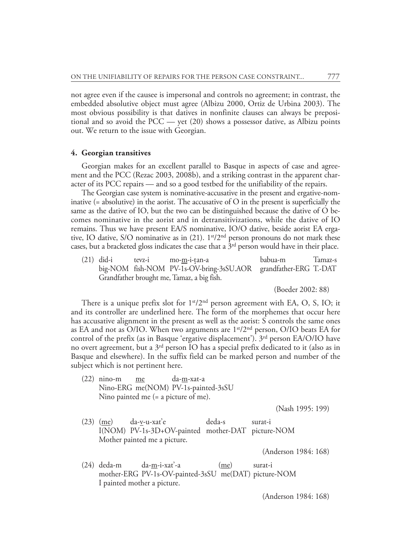not agree even if the causee is impersonal and controls no agreement; in contrast, the embedded absolutive object must agree (Albizu 2000, Ortiz de Urbina 2003). The most obvious possibility is that datives in nonfinite clauses can always be prepositional and so avoid the PCC — yet (20) shows a possessor dative, as Albizu points out. We return to the issue with Georgian.

# **4. Georgian transitives**

Georgian makes for an excellent parallel to Basque in aspects of case and agreement and the PCC (Rezac 2003, 2008b), and a striking contrast in the apparent character of its PCC repairs — and so a good testbed for the unifiability of the repairs.

The Georgian case system is nominative-accusative in the present and ergative-nominative  $(=$  absolutive) in the aorist. The accusative of  $\overline{O}$  in the present is superficially the same as the dative of IO, but the two can be distinguished because the dative of O becomes nominative in the aorist and in detransitivizations, while the dative of IO remains. Thus we have present EA/S nominative, IO/O dative, beside aorist EA ergative, IO dative, S/O nominative as in  $(21)$ . 1<sup>st</sup>/2<sup>nd</sup> person pronouns do not mark these cases, but a bracketed gloss indicates the case that a 3rd person would have in their place.

(21) did-i tevz-i mo-m-i-t**.**an-a babua-m Tamaz-s big-NOM fish-NOM PV-1s-OV-bring-3sSU.AOR grandfather-ERG T.-DAT Grandfather brought me, Tamaz, a big fish.

(Boeder 2002: 88)

There is a unique prefix slot for  $1<sup>st</sup>/2<sup>nd</sup>$  person agreement with EA, O, S, IO; it and its controller are underlined here. The form of the morphemes that occur here has accusative alignment in the present as well as the aorist: S controls the same ones as EA and not as O/IO. When two arguments are  $1<sup>st</sup>/2<sup>nd</sup>$  person, O/IO beats EA for control of the prefix (as in Basque 'ergative displacement').  $3<sup>rd</sup>$  person EA/O/IO have no overt agreement, but a  $3<sup>rd</sup>$  person IO has a special prefix dedicated to it (also as in Basque and elsewhere). In the suffix field can be marked person and number of the subject which is not pertinent here.

(22) nino-m me da-m-xat-a Nino-ERG me(NOM) PV-1s-painted-3sSU Nino painted me (= a picture of me).

(Nash 1995: 199)

(23) (me) da-v-u-xat'e deda-s surat-i I(NOM) PV-1s-3D+OV-painted mother-DAT picture-NOM Mother painted me a picture.

(Anderson 1984: 168)

(24) deda-m da-m-i-xat'-a (me) surat-i mother-ERG PV-1s-OV-painted-3sSU me(DAT) picture-NOM I painted mother a picture.

(Anderson 1984: 168)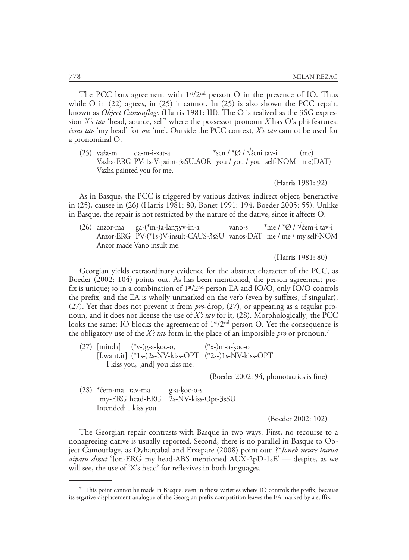The PCC bars agreement with  $1<sup>st</sup>/2<sup>nd</sup>$  person O in the presence of IO. Thus while O in  $(22)$  agrees, in  $(25)$  it cannot. In  $(25)$  is also shown the PCC repair, known as *Object Camouflage* (Harris 1981: III). The O is realized as the 3SG expression *X's tav* 'head, source, self' where the possessor pronoun *X* has O's phi-features: *čems tav* 'my head' for *me* 'me'. Outside the PCC context, *X's tav* cannot be used for a pronominal O.

(25) važa-m da-m-i-xat-a  $\frac{1}{2}$  \*sen / \*Ø / √šeni tav-i (me) Vazha-ERG PV-1s-V-paint-3sSU.AOR you / you / your self-NOM me(DAT) Vazha painted you for me.

(Harris 1981: 92)

As in Basque, the PCC is triggered by various datives: indirect object, benefactive in (25), causee in (26) (Harris 1981: 80, Bonet 1991: 194, Boeder 2005: 55). Unlike in Basque, the repair is not restricted by the nature of the dative, since it affects O.

(26) anzor-ma ga-(\*m-)a-lanʒɣv-in-a vano-s \*me / \*Ø / √čem-i tav-i Anzor-ERG PV-(\*1s-)V-insult-CAUS-3sSU vanos-DAT me / me / my self-NOM Anzor made Vano insult me.

(Harris 1981: 80)

Georgian yields extraordinary evidence for the abstract character of the PCC, as Boeder (2002: 104) points out. As has been mentioned, the person agreement prefix is unique; so in a combination of  $1<sup>st</sup>/2<sup>nd</sup>$  person EA and IO/O, only IO/O controls the prefix, and the EA is wholly unmarked on the verb (even by suffixes, if singular), (27). Yet that does not prevent it from *pro*-drop, (27), or appearing as a regular pronoun, and it does not license the use of *X's tav* for it, (28). Morphologically, the PCC looks the same: IO blocks the agreement of 1<sup>st</sup>/2<sup>nd</sup> person O. Yet the consequence is the obligatory use of the *X's tav* form in the place of an impossible *pro* or pronoun.7

(27) [minda] (\*v-)g-a-k**.**oc-o, (\*x-)m-a-k**.**oc-o [I.want.it] (\*1s-)2s-NV-kiss-OPT (\*2s-)1s-NV-kiss-OPT I kiss you, [and] you kiss me.

(Boeder 2002: 94, phonotactics is fine)

(28) \*čem-ma tav-ma g-a-k**.**oc-o-s my-ERG head-ERG 2s-NV-kiss-Opt-3sSU Intended: I kiss you.

(Boeder 2002: 102)

The Georgian repair contrasts with Basque in two ways. First, no recourse to a nonagreeing dative is usually reported. Second, there is no parallel in Basque to Object Camouflage, as Oyharçabal and Etxepare (2008) point out: ?\**Jonek neure burua aipatu dizut* 'Jon-ERG my head-ABS mentioned AUX-2pD-1sE' — despite, as we will see, the use of 'X's head' for reflexives in both languages.

<sup>7</sup> This point cannot be made in Basque, even in those varieties where IO controls the prefix, because its ergative displacement analogue of the Georgian prefix competition leaves the EA marked by a suffix.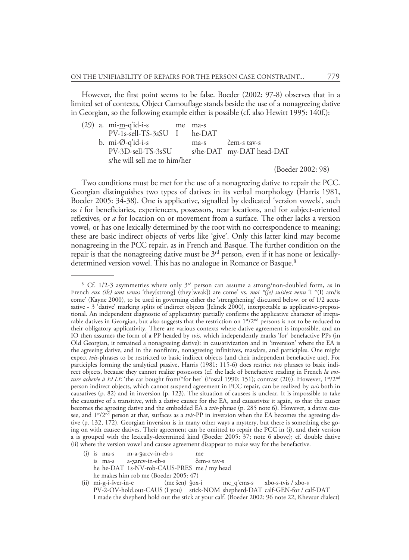However, the first point seems to be false. Boeder (2002: 97-8) observes that in a limited set of contexts, Object Camouflage stands beside the use of a nonagreeing dative in Georgian, so the following example either is possible (cf. also Hewitt 1995: 140f.):

(29) a. mi-m-q'id-i-s me ma-s PV-1s-sell-TS-3sSU I he-DAT b. mi-Ø-q'id-i-s ma-s čem-s tav-s PV-3D-sell-TS-3sSU s/he-DAT my-DAT head-DAT s/he will sell me to him/her

(Boeder 2002: 98)

Two conditions must be met for the use of a nonagreeing dative to repair the PCC. Georgian distinguishes two types of datives in its verbal morphology (Harris 1981, Boeder 2005: 34-38). One is applicative, signalled by dedicated 'version vowels', such as *i* for beneficiaries, experiencers, possessors, near locations, and for subject-oriented reflexives, or *a* for location on or movement from a surface. The other lacks a version vowel, or has one lexically determined by the root with no correspondence to meaning; these are basic indirect objects of verbs like 'give'. Only this latter kind may become nonagreeing in the PCC repair, as in French and Basque. The further condition on the repair is that the nonagreeing dative must be  $3<sup>rd</sup>$  person, even if it has none or lexicallydetermined version vowel. This has no analogue in Romance or Basque.<sup>8</sup>

i(i) is ma-s m-a-ʒarcv-in-eb-s me is ma-s a-ʒarcv-in-eb-s čem-s tav-s he he-DAT 1s-NV-rob-CAUS-PRES me / my head he makes him rob me (Boeder 2005: 47)

<sup>8</sup> Cf. 1/2-3 asymmetries where only 3rd person can assume a strong/non-doubled form, as in French *eux (ils) sont venus* 'they[strong] (they[weak]) are come' vs. *moi \*(je) suis/est venu* 'I \*(I) am/is come' (Kayne 2000), to be used in governing either the 'strengthening' discussed below, or of 1/2 accusative - 3 'dative' marking splits of indirect objects (Jelinek 2000), interpretable as applicative-prepositional. An independent diagnostic of applicativity partially confirms the applicative character of irreparable datives in Georgian, but also suggests that the restriction on 1<sup>st</sup>/2<sup>nd</sup> persons is not to be reduced to their obligatory applicativity. There are various contexts where dative agreement is impossible, and an IO then assumes the form of a PP headed by *tvis*, which independently marks 'for' benefactive PPs (in Old Georgian, it remained a nonagreeing dative): in causativization and in 'inversion' where the EA is the agreeing dative, and in the nonfinite, nonagreeing infinitives, masdars, and participles. One might expect *tvis*-phrases to be restricted to basic indirect objects (and their independent benefactive use). For participles forming the analytical passive, Harris (1981: 115-6) does restrict *tvis* phrases to basic indirect objects, because they cannot realize possessors (cf. the lack of benefactive reading in French *la voiture achetée à ELLE* 'the car bought from/\*for her' (Postal 1990: 151); contrast (20)). However, 1<sup>st</sup>/2<sup>nd</sup> person indirect objects, which cannot suspend agreement in PCC repair, can be realized by *tvis* both in causatives (p. 82) and in inversion (p. 123). The situation of causees is unclear. It is impossible to take the causative of a transitive, with a dative causee for the EA, and causativize it again, so that the causer becomes the agreeing dative and the embedded EA a *tvis*-phrase (p. 285 note 6). However, a dative causee, and 1st/2nd person at that, surfaces as a *tvis*-PP in inversion when the EA becomes the agreeing dative (p. 132, 172). Georgian inversion is in many other ways a mystery, but there is something else going on with causee datives. Their agreement can be omitted to repair the PCC in (i), and their version a is grouped with the lexically-determined kind (Boeder 2005: 37; note 6 above); cf. double dative (ii) where the version vowel and causee agreement disappear to make way for the benefactive.

<sup>(</sup>ii) mi-g-i-šver-in-e (me šen) ǯox-i mc\_q'ems-s xbo-s-tvis / xbo-s PV-2-OV-hold.out-CAUS (I you) stick-NOM shepherd-DAT calf-GEN-for / calf-DAT I made the shepherd hold out the stick at your calf. (Boeder 2002: 96 note 22, Khevsur dialect)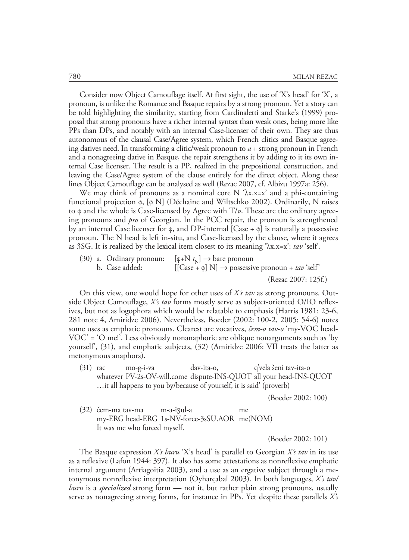Consider now Object Camouflage itself. At first sight, the use of 'X's head' for 'X', a pronoun, is unlike the Romance and Basque repairs by a strong pronoun. Yet a story can be told highlighting the similarity, starting from Cardinaletti and Starke's (1999) proposal that strong pronouns have a richer internal syntax than weak ones, being more like PPs than DPs, and notably with an internal Case-licenser of their own. They are thus autonomous of the clausal Case/Agree system, which French clitics and Basque agreeing datives need. In transforming a clitic/weak pronoun to *a* + strong pronoun in French and a nonagreeing dative in Basque, the repair strengthens it by adding to it its own internal Case licenser. The result is a PP, realized in the prepositional construction, and leaving the Case/Agree system of the clause entirely for the direct object. Along these lines Object Camouflage can be analysed as well (Rezac 2007, cf. Albizu 1997a: 256).

We may think of pronouns as a nominal core N  $\lambda x.x=x'$  and a phi-containing functional projection ϕ, [ϕ N] (Déchaine and Wiltschko 2002). Ordinarily, N raises to φ and the whole is Case-licensed by Agree with T/*v*. These are the ordinary agreeing pronouns and *pro* of Georgian. In the PCC repair, the pronoun is strengthened by an internal Case licenser for  $\varphi$ , and DP-internal [Case +  $\varphi$ ] is naturally a possessive pronoun. The N head is left in-situ, and Case-licensed by the clause, where it agrees as 3SG. It is realized by the lexical item closest to its meaning 'λx.x=x': *tav* 'self'.

(30) a. Ordinary pronoun:  $[\,\varphi + N t_{\rm N}] \rightarrow$  bare pronoun b. Case added:  $[[\text{Case} + \varphi] \text{ N}] \rightarrow \text{possessive pronoun} + \text{tav} \text{ 'self'}$ 

(Rezac 2007: 125f.)

On this view, one would hope for other uses of *X's tav* as strong pronouns. Outside Object Camouflage, *X's tav* forms mostly serve as subject-oriented O/IO reflexives, but not as logophora which would be relatable to emphasis (Harris 1981: 23-6, 281 note 4, Amiridze 2006). Nevertheless, Boeder (2002: 100-2, 2005: 54-6) notes some uses as emphatic pronouns. Clearest are vocatives, *čem-o tav-o* 'my-VOC head-VOC' = 'O me!'. Less obviously nonanaphoric are oblique nonarguments such as 'by yourself', (31), and emphatic subjects, (32) (Amiridze 2006: VII treats the latter as metonymous anaphors).

(31) rac mo-g-i-va dav-ita-o, q'vela šeni tav-ita-o whatever PV-2s-OV-will.come dispute-INS-QUOT all your head-INS-QUOT …it all happens to you by/because of yourself, it is said' (proverb)

(Boeder 2002: 100)

(32) čem-ma tav-ma m-a-iʒul-a me my-ERG head-ERG 1s-NV-force-3sSU.AOR me(NOM) It was me who forced myself.

(Boeder 2002: 101)

The Basque expression *X's buru* 'X's head' is parallel to Georgian *X's tav* in its use as a reflexive (Lafon 1944: 397). It also has some attestations as nonreflexive emphatic internal argument (Artiagoitia 2003), and a use as an ergative subject through a metonymous nonreflexive interpretation (Oyharçabal 2003). In both languages, *X's tav/ buru* is a *specialized* strong form — not it, but rather plain strong pronouns, usually serve as nonagreeing strong forms, for instance in PPs. Yet despite these parallels *X's*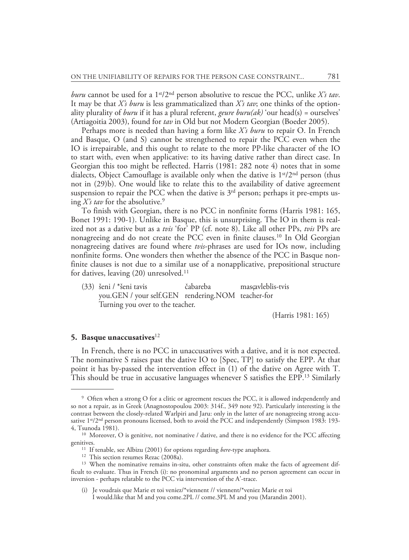*buru* cannot be used for a  $1^{st}/2^{nd}$  person absolutive to rescue the PCC, unlike *X's tav*. It may be that *X's buru* is less grammaticalized than *X's tav*; one thinks of the optionality plurality of *buru* if it has a plural referent, *geure buru(ak)* 'our head(s) = ourselves' (Artiagoitia 2003), found for *tav* in Old but not Modern Georgian (Boeder 2005).

Perhaps more is needed than having a form like *X's buru* to repair O. In French and Basque, O (and S) cannot be strengthened to repair the PCC even when the IO is irrepairable, and this ought to relate to the more PP-like character of the IO to start with, even when applicative: to its having dative rather than direct case. In Georgian this too might be reflected. Harris (1981: 282 note 4) notes that in some dialects, Object Camouflage is available only when the dative is  $1<sup>st</sup>/2<sup>nd</sup>$  person (thus not in (29)b). One would like to relate this to the availability of dative agreement suspension to repair the PCC when the dative is  $3<sup>rd</sup>$  person; perhaps it pre-empts using *X's tav* for the absolutive.9

To finish with Georgian, there is no PCC in nonfinite forms (Harris 1981: 165, Bonet 1991: 190-1). Unlike in Basque, this is unsurprising. The IO in them is realized not as a dative but as a *tvis* 'for' PP (cf. note 8). Like all other PPs, *tvis* PPs are nonagreeing and do not create the PCC even in finite clauses.10 In Old Georgian nonagreeing datives are found where *tvis*-phrases are used for IOs now, including nonfinite forms. One wonders then whether the absence of the PCC in Basque nonfinite clauses is not due to a similar use of a nonapplicative, prepositional structure for datives, leaving (20) unresolved.<sup>11</sup>

(33) šeni / \*šeni tavis čabareba masc.avleblis-tvis you.GEN / your self.GEN rendering.NOM teacher-for Turning you over to the teacher.

(Harris 1981: 165)

#### **5. Basque unaccusatives**<sup>12</sup>

In French, there is no PCC in unaccusatives with a dative, and it is not expected. The nominative S raises past the dative IO to [Spec, TP] to satisfy the EPP. At that point it has by-passed the intervention effect in (1) of the dative on Agree with T. This should be true in accusative languages whenever S satisfies the EPP.13 Similarly

<sup>9</sup> Often when a strong O for a clitic or agreement rescues the PCC, it is allowed independently and so not a repair, as in Greek (Anagnostopoulou 2003: 314f., 349 note 92). Particularly interesting is the contrast between the closely-related Warlpiri and Jaru: only in the latter of are nonagreeing strong accusative 1<sup>st</sup>/2<sup>nd</sup> person pronouns licensed, both to avoid the PCC and independently (Simpson 1983: 193-4, Tsunoda 1981).

<sup>&</sup>lt;sup>10</sup> Moreover, O is genitive, not nominative / dative, and there is no evidence for the PCC affecting genitives.

<sup>11</sup> If tenable, see Albizu (2001) for options regarding *bere*-type anaphora.

<sup>&</sup>lt;sup>12</sup> This section resumes Rezac (2008a).

<sup>&</sup>lt;sup>13</sup> When the nominative remains in-situ, other constraints often make the facts of agreement difficult to evaluate. Thus in French (i): no pronominal arguments and no person agreement can occur in inversion - perhaps relatable to the PCC via intervention of the A'-trace.

<sup>(</sup>i) Je voudrais que Marie et toi veniez/\*viennent // viennent/\*veniez Marie et toi I would.like that M and you come.2PL // come.3PL M and you (Marandin 2001).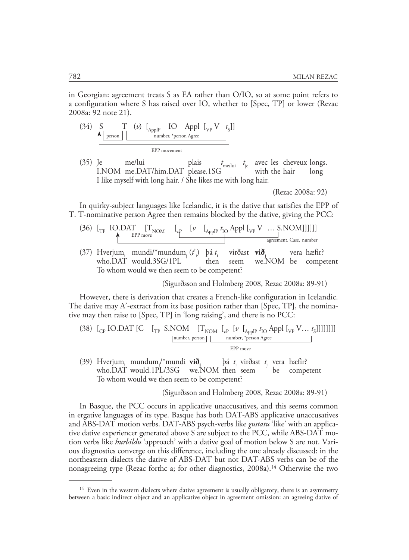in Georgian: agreement treats S as EA rather than O/IO, so at some point refers to a configuration where S has raised over IO, whether to [Spec, TP] or lower (Rezac 2008a: 92 note 21).

(34) S T (*v*) 
$$
\begin{bmatrix} \begin{matrix} P \\ \begin{matrix} P \end{matrix} \end{bmatrix} & \begin{matrix} P \\ \begin{matrix} P \end{matrix} \end{bmatrix} & \begin{matrix} P \\ \begin{matrix} P \end{matrix} \end{matrix} \end{bmatrix}
$$
 
$$
\begin{bmatrix} \begin{matrix} P \\ \begin{matrix} P \end{matrix} \end{bmatrix} & \begin{matrix} P \\ \begin{matrix} P \end{matrix} \end{bmatrix} & \begin{matrix} P \\ \begin{matrix} P \end{matrix} \end{bmatrix} & \begin{matrix} P \\ \begin{matrix} P \end{matrix} \end{bmatrix} & \begin{matrix} P \\ \begin{matrix} P \end{matrix} \end{bmatrix} & \begin{matrix} P \\ \begin{matrix} P \end{matrix} \end{bmatrix}
$$

(35) Je me/lui plais *t* me/lui *t* je avec les cheveux longs. I.NOM me.DAT/him.DAT please.1SG I like myself with long hair. / She likes me with long hair.

(Rezac 2008a: 92)

In quirky-subject languages like Icelandic, it is the dative that satisfies the EPP of T. T-nominative person Agree then remains blocked by the dative, giving the PCC:

- (36)  $\begin{bmatrix} T_{\text{TP}} & \text{IO.DAT} \\ \text{TP} & \text{I-NOM} & \end{bmatrix} \begin{bmatrix} T_{\text{NOM}} & \begin{bmatrix} \nu & \begin{bmatrix} \text{a}_{\text{P}} \end{bmatrix} \end{bmatrix} \begin{bmatrix} \text{a}_{\text{P}} \end{bmatrix} \begin{bmatrix} \text{a}_{\text{NP}} \end{bmatrix} \begin{bmatrix} \text{a}_{\text{NP}} \end{bmatrix} \begin{bmatrix} \text{b}_{\text{NP}} \end{bmatrix} \begin{bmatrix} \text{c}_{\text{NP}} \end{bmatrix} \$ EPP move agreement, Case, number
- (37) Hverjumi mundi/\*mundumj (*t*' i ) þá *t* i virðast **við**<sup>j</sup> vera hæfir? who.DAT would.3SG/1PL then seem we.NOM be competent To whom would we then seem to be competent?

(Sigurðsson and Holmberg 2008, Rezac 2008a: 89-91)

However, there is derivation that creates a French-like configuration in Icelandic. The dative may A'-extract from its base position rather than [Spec, TP], the nominative may then raise to [Spec, TP] in 'long raising', and there is no PCC:

(38) 
$$
\left[\begin{array}{cc}C\end{array}\right]
$$
 [C  $\left[\begin{array}{cc}T_{\text{TP}}\end{array}\right]$  S.NOM  $\left[\begin{array}{cc}T_{\text{NOM}}\end{array}\right]$   $\left[\begin{array}{cc}[\nu\end{array}\right]$   $\left[\begin{array}{cc}A_{\text{ppl}}\end{array}p\right]$   $t_{\text{LO}}$  Appl  $\left[\begin{array}{cc}V\ldots\ t_{\text{S}}\end{array}\right]$  ]]]]] ] ]  
\nnumber, person |  
\nEPP move

(39) Hverjumi mundumj /\*mundi **viðj** þá *t* i virðast *t* j vera hæfir? who.DAT would.1PL/3SG we.NOM then seem be competent To whom would we then seem to be competent?

(Sigurðsson and Holmberg 2008, Rezac 2008a: 89-91)

In Basque, the PCC occurs in applicative unaccusatives, and this seems common in ergative languages of its type. Basque has both DAT-ABS applicative unaccusatives and ABS-DAT motion verbs. DAT-ABS psych-verbs like *gustatu* 'like' with an applicative dative experiencer generated above S are subject to the PCC, while ABS-DAT motion verbs like *hurbildu* 'approach' with a dative goal of motion below S are not. Various diagnostics converge on this difference, including the one already discussed: in the northeastern dialects the dative of ABS-DAT but not DAT-ABS verbs can be of the nonagreeing type (Rezac forthc a; for other diagnostics, 2008a). 14 Otherwise the two

 $14$  Even in the western dialects where dative agreement is usually obligatory, there is an asymmetry between a basic indirect object and an applicative object in agreement omission: an agreeing dative of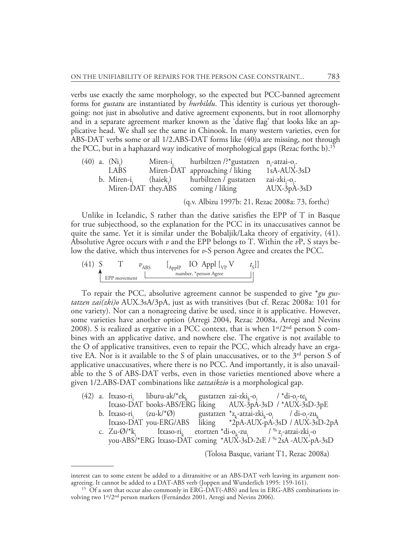verbs use exactly the same morphology, so the expected but PCC-banned agreement forms for *gustatu* are instantiated by *hurbildu*. This identity is curious yet thoroughgoing: not just in absolutive and dative agreement exponents, but in root allomorphy and in a separate agreement marker known as the 'dative flag' that looks like an applicative head. We shall see the same in Chinook. In many western varieties, even for ABS-DAT verbs some or all 1/2.ABS-DAT forms like (40)a are missing, not through the PCC, but in a haphazard way indicative of morphological gaps (Rezac forthc b).15

|  | $(40)$ a. $(Ni)$        |          | Miren-i, hurbiltzen /?*gustatzen n,-atzai-o,.    |               |
|--|-------------------------|----------|--------------------------------------------------|---------------|
|  | I.ABS                   |          | Miren-DAT approaching / liking                   | $1sA-AUX-3sD$ |
|  | b. Miren-i <sub>i</sub> | (haiek.) | hurbiltzen / gustatzen                           | zai-zki -o .  |
|  | Miren-DAT they.ABS      |          | coming / liking                                  | $AUX-3pA-3sD$ |
|  |                         |          | (q.v. Albizu 1997b: 21, Rezac 2008a: 73, forthc) |               |

Unlike in Icelandic, S rather than the dative satisfies the EPP of T in Basque for true subjecthood, so the explanation for the PCC in its unaccusatives cannot be quite the same. Yet it is similar under the Bobaljik/Laka theory of ergativity, (41). Absolutive Agree occurs with *v* and the EPP belongs to T. Within the *v*P, S stays below the dative, which thus intervenes for *v*-S person Agree and creates the PCC.

(41) S T 
$$
v_{\text{ABS}}
$$
  $\begin{bmatrix} L_{\text{ApplP}} & \text{IO Appl } [_{VP}V & t_{\text{s}}] \end{bmatrix}$   
EPP movement  $\begin{bmatrix} L_{\text{applP}} & \text{I} & \text{F}_{\text{preson Age}} \\ \text{number, *person Age} & \text{F}_{\text{preson AGree}} \end{bmatrix}$ 

To repair the PCC, absolutive agreement cannot be suspended to give \**gu gustatzen zai(zki)o* AUX.3sA/3pA, just as with transitives (but cf. Rezac 2008a: 101 for one variety). Nor can a nonagreeing dative be used, since it is applicative. However, some varieties have another option (Arregi 2004, Rezac 2008a, Arregi and Nevins 2008). S is realized as ergative in a PCC context, that is when  $1<sup>st</sup>/2<sup>nd</sup>$  person S combines with an applicative dative, and nowhere else. The ergative is not available to the O of applicative transitives, even to repair the PCC, which already have an ergative EA. Nor is it available to the S of plain unaccusatives, or to the  $3<sup>rd</sup>$  person S of applicative unaccusatives, where there is no PCC. And importantly, it is also unavailable to the S of ABS-DAT verbs, even in those varieties mentioned above where a given 1/2.ABS-DAT combinations like *zatzaikzio* is a morphological gap.

|  | (42) a. Itxaso-ri, liburu-ak/*ek, gustatzen zai-zki <sub>t-0;</sub> /*di-o <sub>i</sub> -te <sub>t</sub>                                                           |  |                                                                 |
|--|--------------------------------------------------------------------------------------------------------------------------------------------------------------------|--|-----------------------------------------------------------------|
|  |                                                                                                                                                                    |  | Itxaso-DAT books-ABS/ERG liking AUX-3pA-3sD /*AUX-3sD-3pE       |
|  | b. Itxaso-ri, $(zu-k/\mathcal{A}\emptyset)$ gustatzen $z_{L}$ -atzai-zki <sub>t-o;</sub> / di-o <sub>i</sub> -zu <sub>t</sub>                                      |  |                                                                 |
|  |                                                                                                                                                                    |  | Itxaso-DAT you-ERG/ABS liking *2pA-AUX-pA-3sD / AUX-3sD-2pA     |
|  | c. Zu- $\varnothing$ /*k <sub>i</sub> Itxaso-ri <sub>k</sub> etortzen *di-o <sub>k</sub> -zu <sub>i</sub> / <sup>%</sup> z <sub>i</sub> -atzai-zki <sub>i</sub> -o |  |                                                                 |
|  |                                                                                                                                                                    |  | you-ABS/*ERG Itxaso-DAT coming *AUX-3sD-2sE / % 2sA -AUX-pA-3sD |
|  |                                                                                                                                                                    |  |                                                                 |

(Tolosa Basque, variant T1, Rezac 2008a)

interest can to some extent be added to a ditransitive or an ABS-DAT verb leaving its argument nonagreeing. It cannot be added to a DAT-ABS verb (Joppen and Wunderlich 1995: 159-161).

<sup>&</sup>lt;sup>15</sup> Of a sort that occur also commonly in ERG-DAT(-ABS) and less in ERG-ABS combinations involving two 1st/2nd person markers (Fernández 2001, Arregi and Nevins 2006).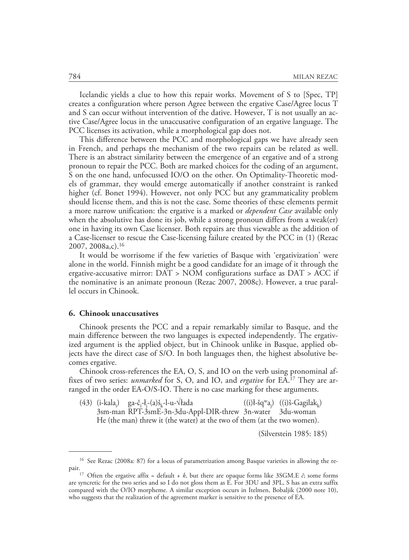Icelandic yields a clue to how this repair works. Movement of S to [Spec, TP] creates a configuration where person Agree between the ergative Case/Agree locus T and S can occur without intervention of the dative. However, T is not usually an active Case/Agree locus in the unaccusative configuration of an ergative language. The PCC licenses its activation, while a morphological gap does not.

This difference between the PCC and morphological gaps we have already seen in French, and perhaps the mechanism of the two repairs can be related as well. There is an abstract similarity between the emergence of an ergative and of a strong pronoun to repair the PCC. Both are marked choices for the coding of an argument, S on the one hand, unfocussed IO/O on the other. On Optimality-Theoretic models of grammar, they would emerge automatically if another constraint is ranked higher (cf. Bonet 1994). However, not only PCC but any grammaticality problem should license them, and this is not the case. Some theories of these elements permit a more narrow unification: the ergative is a marked or *dependent Case* available only when the absolutive has done its job, while a strong pronoun differs from a weak(er) one in having its own Case licenser. Both repairs are thus viewable as the addition of a Case-licenser to rescue the Case-licensing failure created by the PCC in (1) (Rezac 2007, 2008a,c).16

It would be worrisome if the few varieties of Basque with 'ergativization' were alone in the world. Finnish might be a good candidate for an image of it through the ergative-accusative mirror: DAT > NOM configurations surface as DAT > ACC if the nominative is an animate pronoun (Rezac 2007, 2008c). However, a true parallel occurs in Chinook.

# **6. Chinook unaccusatives**

Chinook presents the PCC and a repair remarkably similar to Basque, and the main difference between the two languages is expected independently. The ergativized argument is the applied object, but in Chinook unlike in Basque, applied objects have the direct case of S/O. In both languages then, the highest absolutive becomes ergative.

Chinook cross-references the EA, O, S, and IO on the verb using pronominal affixes of two series: *unmarked* for S, O, and IO, and *ergative* for EA.17 They are arranged in the order EA-O/S-IO. There is no case marking for these arguments.

(43) (i-kala<sub>i</sub>) ga-č<sub>i</sub>-ł<sub>j</sub>-(a)š<sub>k</sub>-l-u-√łada ((i)ł-šq<sup>w</sup>a<sub>j</sub> ((i)ł-šq<sup>w</sup>a<sub>j</sub>) ((i)š-Gagilak<sub>k</sub>)<br>3n-water 3du-woman 3sm-man RPT-3smE-3n-3du-Appl-DIR-threw 3n-water He (the man) threw it (the water) at the two of them (at the two women).

(Silverstein 1985: 185)

<sup>16</sup> See Rezac (2008a: 87) for a locus of parametrization among Basque varieties in allowing the re-

pair.17 Often the ergative affix = default + *<sup>k</sup>*, but there are opaque forms like 3SGM.E *č*; some forms are syncretic for the two series and so I do not gloss them as E. For 3DU and 3PL, S has an extra suffix compared with the O/IO morpheme. A similar exception occurs in Itelmen, Bobaljik (2000 note 10), who suggests that the realization of the agreement marker is sensitive to the presence of EA.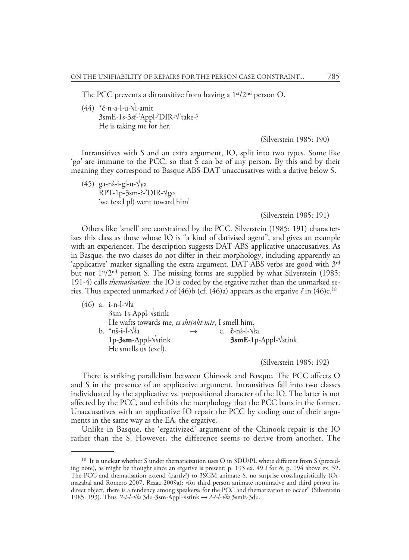The PCC prevents a ditransitive from having a  $1<sup>st</sup>/2<sup>nd</sup>$  person O.

(44) \*č-n-a-l-u-√i-amit 3smE-1s-3sf-? Appl-? DIR-√? take-? He is taking me for her.

(Silverstein 1985: 190)

Intransitives with S and an extra argument, IO, split into two types. Some like 'go' are immune to the PCC, so that S can be of any person. By this and by their meaning they correspond to Basque ABS-DAT unaccusatives with a dative below S.

(45) ga-nš-i-gl-u-√ya RPT-1p-3sm-?-? DIR-√go 'we (excl pl) went toward him'

#### (Silverstein 1985: 191)

Others like 'smell' are constrained by the PCC. Silverstein (1985: 191) characterizes this class as those whose IO is "a kind of dativised agent", and gives an example with an experiencer. The description suggests DAT-ABS applicative unaccusatives. As in Basque, the two classes do not differ in their morphology, including apparently an 'applicative' marker signalling the extra argument. DAT-ABS verbs are good with  $3<sup>rd</sup>$ but not 1<sup>st</sup>/2<sup>nd</sup> person S. The missing forms are supplied by what Silverstein (1985: 191-4) calls *thematisation*: the IO is coded by the ergative rather than the unmarked series. Thus expected unmarked *i* of (46)b (cf. (46)a) appears as the ergative  $\check{c}$  in (46)c.<sup>18</sup>

(46) a. **i**-n-l-√ła 3sm-1s-Appl-√stink He wafts towards me, *es shtinkt mir*, I smell him. b. \*nš-**i**-l-√ła → c . **č**-nš-l-√ła 1p-3sm-Appl-√stink He smells us (excl).

(Silverstein 1985: 192)

There is striking parallelism between Chinook and Basque. The PCC affects O and S in the presence of an applicative argument. Intransitives fall into two classes individuated by the applicative vs. prepositional character of the IO. The latter is not affected by the PCC, and exhibits the morphology that the PCC bans in the former. Unaccusatives with an applicative IO repair the PCC by coding one of their arguments in the same way as the EA, the ergative.

Unlike in Basque, the 'ergativized' argument of the Chinook repair is the IO rather than the S. However, the difference seems to derive from another. The

<sup>&</sup>lt;sup>18</sup> It is unclear whether S under thematicization uses O in 3DU/PL where different from S (preceding note), as might be thought since an ergative is present: p. 193 ex. 49 *š* for *št*, p. 194 above ex. 52. The PCC and thematisation extend (partly?) to 3SGM animate S, no surprise crosslinguistically (Ormazabal and Romero 2007, Rezac 2009a): «for third person animate nominative and third person indirect object, there is a tendency among speakers» for the PCC and thematization to occur" (Silverstein 1985: 193). Thus *\*š-i-l-√ła* 3du-**3sm**-Appl-√stink → *č-š-l-√ła* **3smE**-3du.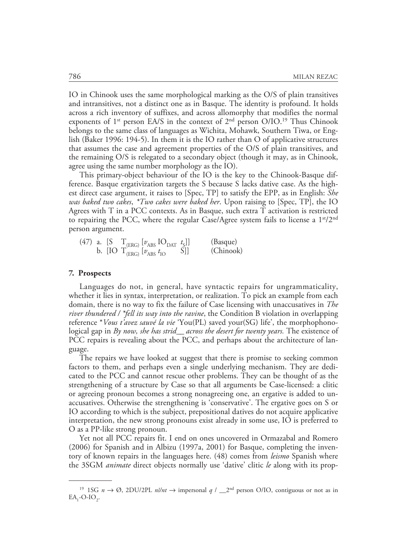IO in Chinook uses the same morphological marking as the O/S of plain transitives and intransitives, not a distinct one as in Basque. The identity is profound. It holds across a rich inventory of suffixes, and across allomorphy that modifies the normal exponents of  $1^{st}$  person EA/S in the context of  $2^{nd}$  person O/IO.<sup>19</sup> Thus Chinook belongs to the same class of languages as Wichita, Mohawk, Southern Tiwa, or English (Baker 1996: 194-5). In them it is the IO rather than O of applicative structures that assumes the case and agreement properties of the O/S of plain transitives, and the remaining O/S is relegated to a secondary object (though it may, as in Chinook, agree using the same number morphology as the IO).

This primary-object behaviour of the IO is the key to the Chinook-Basque difference. Basque ergativization targets the S because S lacks dative case. As the highest direct case argument, it raises to [Spec, TP] to satisfy the EPP, as in English: *She was baked two cakes*, *\*Two cakes were baked her*. Upon raising to [Spec, TP], the IO Agrees with T in a PCC contexts. As in Basque, such extra T activation is restricted to repairing the PCC, where the regular Case/Agree system fails to license a  $1<sup>st</sup>/2<sup>nd</sup>$ person argument.

(47) a. [S 
$$
T_{(ERG)} [v_{ABS} IO_{DATA} t_S]]
$$
 (Bayque)  
b. [IO  $T_{(ERG)} [v_{ABS} t_{IO} S]]$  (Chinook)

#### **7. Prospects**

Languages do not, in general, have syntactic repairs for ungrammaticality, whether it lies in syntax, interpretation, or realization. To pick an example from each domain, there is no way to fix the failure of Case licensing with unaccusatives in *The river thundered / \*fell its way into the ravine*, the Condition B violation in overlapping reference \**Vous t'avez sauvé la vie* 'You(PL) saved your(SG) life', the morphophonological gap in *By now, she has strid\_\_ across the desert for twenty years.* The existence of PCC repairs is revealing about the PCC, and perhaps about the architecture of language.

The repairs we have looked at suggest that there is promise to seeking common factors to them, and perhaps even a single underlying mechanism. They are dedicated to the PCC and cannot rescue other problems. They can be thought of as the strengthening of a structure by Case so that all arguments be Case-licensed: a clitic or agreeing pronoun becomes a strong nonagreeing one, an ergative is added to unaccusatives. Otherwise the strengthening is 'conservative'. The ergative goes on S or IO according to which is the subject, prepositional datives do not acquire applicative interpretation, the new strong pronouns exist already in some use, IO is preferred to O as a PP-like strong pronoun.

Yet not all PCC repairs fit. I end on ones uncovered in Ormazabal and Romero (2006) for Spanish and in Albizu (1997a, 2001) for Basque, completing the inventory of known repairs in the languages here. (48) comes from *leismo* Spanish where the 3SGM *animate* direct objects normally use 'dative' clitic *le* along with its prop-

<sup>&</sup>lt;sup>19</sup> 1SG  $n \to \emptyset$ , 2DU/2PL  $n\sinh \to \text{impersonal } q / \_2^{\text{nd}}$  person O/IO, contiguous or not as in  $EA_1$ -O-IO<sub>2</sub>.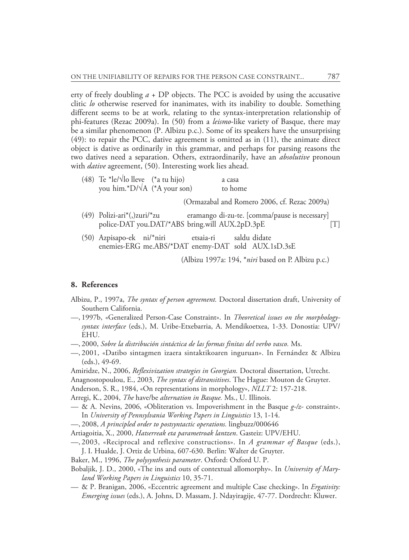erty of freely doubling  $a + DP$  objects. The PCC is avoided by using the accusative clitic *lo* otherwise reserved for inanimates, with its inability to double. Something different seems to be at work, relating to the syntax-interpretation relationship of phi-features (Rezac 2009a). In (50) from a *leismo*-like variety of Basque, there may be a similar phenomenon (P. Albizu p.c.). Some of its speakers have the unsurprising (49): to repair the PCC, dative agreement is omitted as in (11), the animate direct object is dative as ordinarily in this grammar, and perhaps for parsing reasons the two datives need a separation. Others, extraordinarily, have an *absolutive* pronoun with *dative* agreement, (50). Interesting work lies ahead.

| (48) Te *le/ $\sqrt{ }$ lo lleve (*a tu hijo)<br>you him.*D/ $\sqrt{A}$ (*A your son) |  | a casa<br>to home                             |
|---------------------------------------------------------------------------------------|--|-----------------------------------------------|
|                                                                                       |  | (Ormazabal and Romero 2006, cf. Rezac 2009a)  |
| $(49)$ Polizi-ari <sup>*</sup> (.)zuri/ <sup>*</sup> zu                               |  | eramango di-zu-te. [comma/pause is necessary] |

- (49) Polizi-ari\*(,)zuri/\*zu eramango di-zu-te. [comma/pause is necessary] police-DAT you.DAT/\*ABS bring.will AUX.2pD.3pE [T]
- (50) Azpisapo-ek ni/\*niri etsaia-ri saldu didate enemies-ERG me.ABS/\*DAT enemy-DAT sold AUX.1sD.3sE

(Albizu 1997a: 194, \**niri* based on P. Albizu p.c.)

# **8. References**

- Albizu, P., 1997a, *The syntax of person agreement.* Doctoral dissertation draft, University of Southern California.
- —, 1997b, «Generalized Person-Case Constraint». In *Theoretical issues on the morphologysyntax interface* (eds.), M. Uribe-Etxebarria, A. Mendikoetxea, 1-33. Donostia: UPV/ EHU.
- —, 2000, *Sobre la distribución sintáctica de las formas finitas del verbo vasco.* Ms.
- —, 2001, «Datibo sintagmen izaera sintaktikoaren inguruan». In Fernández & Albizu (eds.), 49-69.
- Amiridze, N., 2006, *Reflexivization strategies in Georgian.* Doctoral dissertation, Utrecht.
- Anagnostopoulou, E., 2003, *The syntax of ditransitives*. The Hague: Mouton de Gruyter.
- Anderson, S. R., 1984, «On representations in morphology», *NLLT* 2: 157-218.
- Arregi, K., 2004, *The* have/be *alternation in Basque.* Ms., U. Illinois.
- & A. Nevins, 2006, «Obliteration vs. Impoverishment in the Basque *g-/z-* constraint». In *University of Pennsylvania Working Papers in Linguistics* 13, 1-14.
- —, 2008, *A principled order to postsyntactic operations.* lingbuzz/000646
- Artiagoitia, X., 2000, *Hatserreak eta parametroak lantzen*. Gasteiz: UPV/EHU.
- —, 2003, «Reciprocal and reflexive constructions». In *A grammar of Basque* (eds.), J. I. Hualde, J. Ortiz de Urbina, 607-630. Berlin: Walter de Gruyter.
- Baker, M., 1996, *The polysynthesis parameter*. Oxford: Oxford U. P.
- Bobaljik, J. D., 2000, «The ins and outs of contextual allomorphy». In *University of Maryland Working Papers in Linguistics* 10, 35-71.
- & P. Branigan, 2006, «Eccentric agreement and multiple Case checking». In *Ergativity: Emerging issues* (eds.), A. Johns, D. Massam, J. Ndayiragije, 47-77. Dordrecht: Kluwer.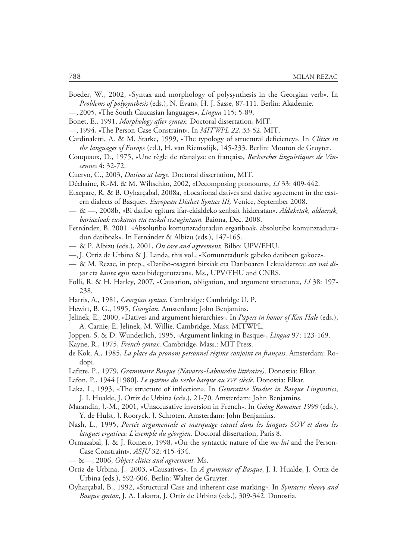- Boeder, W., 2002, «Syntax and morphology of polysynthesis in the Georgian verb». In *Problems of polysynthesis* (eds.), N. Evans, H. J. Sasse, 87-111. Berlin: Akademie.
- —, 2005, «The South Caucasian languages», *Lingua* 115: 5-89.
- Bonet, E., 1991, *Morphology after syntax.* Doctoral dissertation, MIT.
- —, 1994, «The Person-Case Constraint». In *MITWPL 22*, 33-52. MIT.
- Cardinaletti, A. & M. Starke, 1999, «The typology of structural deficiency». In *Clitics in the languages of Europe* (ed.), H. van Riemsdijk, 145-233. Berlin: Mouton de Gruyter.
- Couquaux, D., 1975, «Une règle de réanalyse en français», *Recherches linguistiques de Vincennes* 4: 32-72.
- Cuervo, C., 2003, *Datives at large.* Doctoral dissertation, MIT.
- Déchaine, R.-M. & M. Wiltschko, 2002, «Decomposing pronouns», *LI* 33: 409-442.
- Etxepare, R. & B. Oyharçabal, 2008a, «Locational datives and dative agreement in the eastern dialects of Basque». *European Dialect Syntax III,* Venice, September 2008.
- & —, 2008b, «Bi datibo egitura ifar-ekialdeko zenbait hizkeratan». *Aldaketak, aldaerak, bariazioak euskaran eta euskal testugintzan.* Baiona, Dec. 2008.
- Fernández, B. 2001. «Absolutibo komunztaduradun ergatiboak, absolutibo komunztaduradun datiboak». In Fernández & Albizu (eds.), 147-165.
- & P. Albizu (eds.), 2001, *On case and agreement,* Bilbo: UPV/EHU.
- —, J. Ortiz de Urbina & J. Landa, this vol., «Komunztadurik gabeko datiboen gakoez».
- & M. Rezac, in prep., «Datibo-osagarri bitxiak eta Datiboaren Lekualdatzea: *ari nai diyot* eta *kanta egin nazu* bidegurutzean». Ms., UPV/EHU and CNRS.
- Folli, R. & H. Harley, 2007, «Causation, obligation, and argument structure», *LI* 38: 197- 238.
- Harris, A., 1981, *Georgian syntax*. Cambridge: Cambridge U. P.
- Hewitt, B. G., 1995, *Georgian*. Amsterdam: John Benjamins.
- Jelinek, E., 2000, «Datives and argument hierarchies». In *Papers in honor of Ken Hale* (eds.), A. Carnie, E. Jelinek, M. Willie. Cambridge, Mass: MITWPL.
- Joppen, S. & D. Wunderlich, 1995, «Argument linking in Basque», *Lingua* 97: 123-169.
- Kayne, R., 1975, *French syntax*. Cambridge, Mass.: MIT Press.
- de Kok, A., 1985, *La place du pronom personnel régime conjoint en français*. Amsterdam: Rodopi.
- Lafitte, P., 1979, *Grammaire Basque (Navarro-Labourdin littéraire)*. Donostia: Elkar.
- Lafon, P., 1944 [1980], *Le système du verbe basque au XVI<sup>e</sup> siècle*. Donostia: Elkar.
- Laka, I., 1993, «The structure of inflection». In *Generative Studies in Basque Linguistics*, J. I. Hualde, J. Ortiz de Urbina (eds.), 21-70. Amsterdam: John Benjamins.
- Marandin, J.-M., 2001, «Unaccusative inversion in French». In *Going Romance 1999* (eds.), Y. de Hulst, J. Rooryck, J. Schroten. Amsterdam: John Benjamins.
- Nash, L., 1995, *Portée argumentale et marquage casuel dans les langues SOV et dans les langues ergatives: L'exemple du géorgien.* Doctoral dissertation, Paris 8.
- Ormazabal, J. & J. Romero, 1998, «On the syntactic nature of the *me-lui* and the Person-Case Constraint». *ASJU* 32: 415-434.
- &—, 2006, *Object clitics and agreement.* Ms.
- Ortiz de Urbina, J., 2003, «Causatives». In *A grammar of Basque*, J. I. Hualde, J. Ortiz de Urbina (eds.), 592-606. Berlin: Walter de Gruyter.
- Oyharçabal, B., 1992, «Structural Case and inherent case marking». In *Syntactic theory and Basque syntax*, J. A. Lakarra, J. Ortiz de Urbina (eds.), 309-342. Donostia.